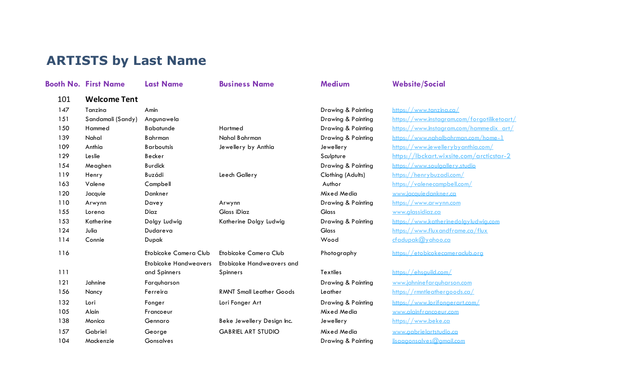## **ARTISTS by Last Name**

|     | <b>Booth No. First Name</b> | <b>Last Name</b>             | <b>Business Name</b>            | <b>Medium</b>      | <b>Website/Social</b> |
|-----|-----------------------------|------------------------------|---------------------------------|--------------------|-----------------------|
| 101 | <b>Welcome Tent</b>         |                              |                                 |                    |                       |
| 147 | Tanzina                     | Amin                         |                                 | Drawing & Painting | https://www.tanzin    |
| 151 | Sandamali (Sandy)           | Angunawela                   |                                 | Drawing & Painting | https://www.instagr   |
| 150 | Hammed                      | <b>Babatunde</b>             | Hartmed                         | Drawing & Painting | https://www.Instagr   |
| 139 | Nahal                       | <b>Bahrman</b>               | Nahal Bahrman                   | Drawing & Painting | https://www.nahalb    |
| 109 | Anthia                      | <b>Barboutsis</b>            | Jewellery by Anthia             | Jewellery          | https://www.jewelle   |
| 129 | Leslie                      | Becker                       |                                 | Sculpture          | https://lbckart.wi    |
| 154 | Meaghen                     | <b>Burdick</b>               |                                 | Drawing & Painting | https://www.soulgo    |
| 119 | Henry                       | Buzádi                       | Leech Gallery                   | Clothing (Adults)  | https://henrybuzao    |
| 163 | Valene                      | Campbell                     |                                 | Author             | https://valenecamp    |
| 120 | Jacquie                     | Dankner                      |                                 | Mixed Media        | www.jacquiedankne     |
| 110 | Arwynn                      | Davey                        | Arwynn                          | Drawing & Painting | https://www.arwyn     |
| 155 | Lorena                      | Diaz                         | Glass iDiaz                     | Glass              | www.alassidiaz.ca     |
| 153 | Katherine                   | Dolgy Ludwig                 | Katherine Dolgy Ludwig          | Drawing & Painting | https://www.kather    |
| 124 | Julia                       | Dudareva                     |                                 | Glass              | https://www.fluxan    |
| 114 | Connie                      | Dupak                        |                                 | Wood               | cfadupak@vahoo.       |
| 116 |                             | Etobicoke Camera Club        | Etobicoke Camera Club           | Photography        | https://etobicokeco   |
|     |                             | <b>Etobicoke Handweavers</b> | Etobicoke Handweavers and       |                    |                       |
| 111 |                             | and Spinners                 | Spinners                        | <b>Textiles</b>    | https://ehsquild.cor  |
| 121 | Jahnine                     | Farquharson                  |                                 | Drawing & Painting | www.jahninefarauh     |
| 156 | Nancy                       | Ferreira                     | <b>RMNT Small Leather Goods</b> | Leather            | https://rmntleather   |
| 132 | Lori                        | Fonger                       | Lori Fonger Art                 | Drawing & Painting | https://www.lorifor   |
| 105 | Alain                       | Francoeur                    |                                 | Mixed Media        | www.alainfrancoeur    |
| 138 | Monica                      | Gennaro                      | Beke Jewellery Design Inc.      | Jewellery          | https://www.beke.d    |
| 157 | Gabriel                     | George                       | <b>GABRIEL ART STUDIO</b>       | Mixed Media        | www.aabrielartstud    |
| 104 | Mackenzie                   | <b>Gonsalves</b>             |                                 | Drawing & Painting | lisaaaonsalves@an     |

| Drawing & Painting |
|--------------------|
| Drawing & Painting |
| Drawing & Painting |
| Jewellery          |
| Sculpture          |
| Drawing & Painting |
| Clothing (Adults)  |
| Author             |
| Mixed Media        |
| Drawing & Painting |
| Glass              |
| Drawing & Painting |
| Glass              |
| Wood               |
|                    |

116 Etobicoke Camera Club Etobicoke Camera Club Photography https://etobicokecameraclub.org

Drawing & Painting https://www.tanzing.ca/ https://www.instagram.com/forgotiliketoart/ https://www.Instagram.com/hammedix\_art/ https://www.nahalbahrman.com/home-1 https://www.jewellerybyanthia.com/ https://lbckart.wixsite.com/arcticstar-2 https://www.soulgallery.studio https://henrybuzadi.com/ https://valenecampbell.com/ www.jacquie dankner.ca https://www.arwynn.com www.alassidiaz.ca 153 Katherine Dolgy Ludwig Catherine Drawing & Painting https://www.katherinedolgyludwig.com https://www.fluxandframe.ca/flux  $cfadwak @yahoo.ca$ 

### Textiles https://ehsquild.com/

Drawing & Painting www.jahninefarquharson.com  $156$   $\frac{1}{10}$   $\frac{1}{10}$   $\frac{1}{10}$   $\frac{1}{10}$   $\frac{1}{10}$   $\frac{1}{10}$   $\frac{1}{10}$   $\frac{1}{10}$   $\frac{1}{10}$   $\frac{1}{10}$   $\frac{1}{10}$   $\frac{1}{10}$   $\frac{1}{10}$   $\frac{1}{10}$   $\frac{1}{10}$   $\frac{1}{10}$   $\frac{1}{10}$   $\frac{1}{10}$   $\frac{1}{10}$   $\frac{1}{$ Drawing & Painting https://www.lorifongerart.com/ Mixed Media www.alainfrancoeur.com 138 Indias Monica General General Monics Intervelse Inc. Jewellery https://www.beke.ca 157 Mixed Media Europe Gabriel Gastridio.ca Drawing & Painting lisaagonsalves@gmail.com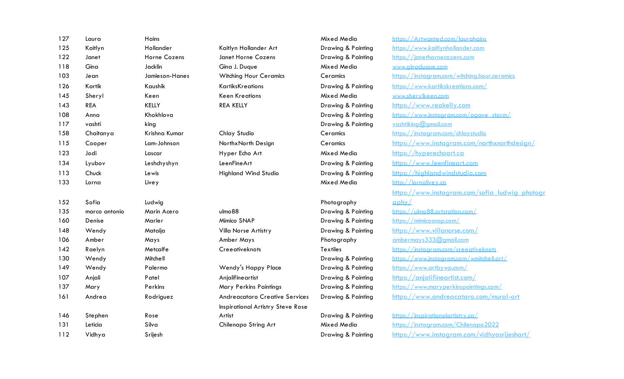| 127 | Laura         | Hains          |                                          | Mixed Media                   | https://Artwanted.com/laurahains               |
|-----|---------------|----------------|------------------------------------------|-------------------------------|------------------------------------------------|
| 125 | Kaitlyn       | Hollander      | Kaitlyn Hollander Art                    | Drawing & Painting            | https://www.kaitlynhollander.com               |
| 122 | Janet         | Horne Cozens   | Janet Horne Cozens                       | Drawing & Painting            | https://janethornecozens.com                   |
| 118 | Gina          | Jacklin        | Gina J. Duque                            | Mixed Media                   | www.ainaduaue.com                              |
| 103 | Jean          | Jamieson-Hanes | <b>Witching Hour Ceramics</b>            | Ceramics                      | https://instagram.com/witching.hour.ceramics   |
| 126 | Kartik        | Kaushik        | <b>KartiksKreations</b>                  | Drawing & Painting            | https://www.kartikskreations.com/              |
| 145 | Sheryl        | Keen           | <b>Keen Kreations</b>                    | Mixed Media                   | www.sherylkeen.com                             |
| 143 | <b>REA</b>    | <b>KELLY</b>   | <b>REA KELLY</b>                         | Drawing & Painting            | https://www.reakelly.com                       |
| 108 | Anna          | Khokhlova      |                                          | Drawing & Painting            | https://www.instagram.com/agave_storm/         |
| 117 | vashti        | king           |                                          | Drawing & Painting            | vashtikina@amail.com                           |
| 158 | Chaitanya     | Krishna Kumar  | Chlay Studio                             | Ceramics                      | https://instagram.com/chlaystudio              |
| 115 | Cooper        | Lam-Johnson    | NorthxNorth Design                       | Ceramics                      | https://www.instaaram.com/northxnorthdesian/   |
| 123 | Jodi          | Lascar         | Hyper Echo Art                           | Mixed Media                   | https://hyperechoart.ca                        |
| 134 | Lyubov        | Leshchyshyn    | LeenFineArt                              | Drawing & Painting            | https://www.leenfineart.com                    |
| 113 | Chuck         | Lewis          | <b>Highland Wind Studio</b>              | Drawing & Painting            | https://highlandwindstudio.com                 |
| 133 | Lorna         | Livey          |                                          | Mixed Media                   | http://lornalivey.ca                           |
|     |               |                |                                          |                               | https://www.instaaram.com/sofia ludwia photoar |
| 152 | Sofia         | Ludwig         |                                          | Photography                   | $a$ phy                                        |
| 135 | marco antonio | Marin Acero    | ulmo 88                                  | <b>Drawing &amp; Painting</b> | https://ulmo88.artstation.com/                 |
| 160 | Denise        | Marler         | Mimico SNAP                              | Drawing & Painting            | https://mimicosnap.com/                        |
| 148 | Wendy         | Mataija        | Villa Norse Artistry                     | Drawing & Painting            | https://www.villanorse.com/                    |
| 106 | Amber         | Mays           | Amber Mays                               | Photography                   | ambermays333@amail.com                         |
| 142 | Raelyn        | Metcalfe       | Creeativeknots                           | <b>Textiles</b>               | https://instaaram.com/creeativeknots           |
| 130 | Wendy         | Mitchell       |                                          | <b>Drawing &amp; Painting</b> | https://www.instagram.com/wmitchell.art/       |
| 149 | Wendy         | Palermo        | Wendy's Happy Place                      | Drawing & Painting            | https://www.artbywp.com/                       |
| 107 | Anjali        | Patel          | Anjalifineartist                         | Drawing & Painting            | https://anialifineartist.com/                  |
| 137 | Mary          | Perkins        | Mary Perkins Paintings                   | Drawing & Painting            | https://www.maryperkinspaintinas.com/          |
| 161 | Andrea        | Rodriguez      | <b>Andreacataro Creative Services</b>    | Drawing & Painting            | https://www.andreacataro.com/mural-art         |
|     |               |                | <b>Inspirational Artistry Steve Rose</b> |                               |                                                |
| 146 | Stephen       | Rose           | Artist                                   | Drawing & Painting            | https://inspirationalartistry.ca/              |
| 131 | Leticia       | Silva          | Chilenapo String Art                     | Mixed Media                   | https://instaaram.com/Chilenapo2022            |
| 112 | Vidhya        | Srijesh        |                                          | Drawing & Painting            | https://www.instaaram.com/vidhyasrijeshart/    |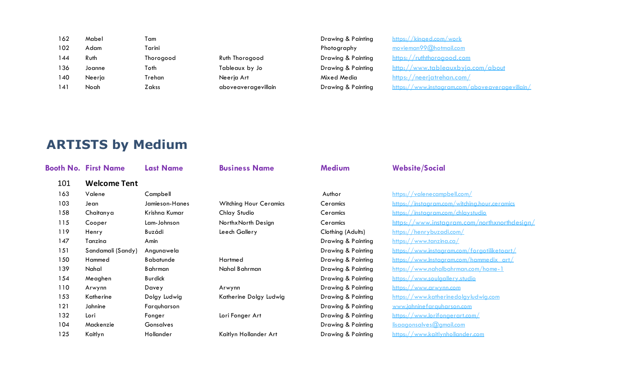| $^\prime$ aboveaveraaevillain $^\prime$ |
|-----------------------------------------|
|                                         |

# **ARTISTS by Medium**

|     | <b>Booth No. First Name</b> | <b>Last Name</b> | <b>Business Name</b>          | <b>Medium</b>      | <b>Website/Social</b>                        |
|-----|-----------------------------|------------------|-------------------------------|--------------------|----------------------------------------------|
| 101 | <b>Welcome Tent</b>         |                  |                               |                    |                                              |
| 163 | Valene                      | Campbell         |                               | Author             | https://valenecampbell.com/                  |
| 103 | Jean                        | Jamieson-Hanes   | <b>Witching Hour Ceramics</b> | Ceramics           | https://instaaram.com/witchina.hour.ceramics |
| 158 | Chaitanya                   | Krishna Kumar    | Chlay Studio                  | Ceramics           | https://instaaram.com/chlaystudio            |
| 115 | Cooper                      | Lam-Johnson      | NorthxNorth Design            | Ceramics           | https://www.instaaram.com/northxnorthdesian/ |
| 119 | Henry                       | Buzádi           | Leech Gallery                 | Clothing (Adults)  | https://henrybuzadi.com/                     |
| 147 | Tanzina                     | Amin             |                               | Drawing & Painting | https://www.tanzina.ca/                      |
| 151 | Sandamali (Sandy)           | Angunawela       |                               | Drawing & Painting | https://www.instagram.com/forgotiliketoart/  |
| 150 | Hammed                      | <b>Babatunde</b> | Hartmed                       | Drawing & Painting | https://www.lnstaaram.com/hammedix_art/      |
| 139 | Nahal                       | Bahrman          | Nahal Bahrman                 | Drawing & Painting | https://www.nahalbahrman.com/home-1          |
| 154 | Meaghen                     | <b>Burdick</b>   |                               | Drawing & Painting | https://www.soulaallery.studio               |
| 110 | Arwynn                      | Davey            | Arwynn                        | Drawing & Painting | https://www.arwynn.com                       |
| 153 | Katherine                   | Dolgy Ludwig     | Katherine Dolgy Ludwig        | Drawing & Painting | https://www.katherinedolgyludwig.com         |
| 121 | Jahnine                     | Farquharson      |                               | Drawing & Painting | www.iahninefarauharson.com                   |
| 132 | Lori                        | Fonger           | Lori Fonger Art               | Drawing & Painting | https://www.lorifongerart.com/               |
| 104 | Mackenzie                   | Gonsalves        |                               | Drawing & Painting | lisaaaonsalves@amail.com                     |
| 125 | Kaitlyn                     | Hollander        | Kaitlyn Hollander Art         | Drawing & Painting | https://www.kaitlynhollander.com             |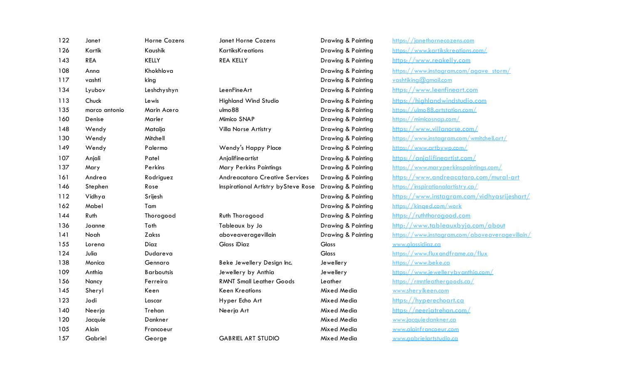| 122 | Janet         | Horne Cozens      | Janet Horne Cozens                    | Drawing & Painting | https://janethornecozens.com                   |
|-----|---------------|-------------------|---------------------------------------|--------------------|------------------------------------------------|
| 126 | Kartik        | Kaushik           | <b>KartiksKreations</b>               | Drawing & Painting | https://www.kartikskreations.com/              |
| 143 | <b>REA</b>    | <b>KELLY</b>      | <b>REA KELLY</b>                      | Drawing & Painting | https://www.reakelly.com                       |
| 108 | Anna          | Khokhlova         |                                       | Drawing & Painting | https://www.instaaram.com/agave_storm/         |
| 117 | vashti        | king              |                                       | Drawing & Painting | yashtikina@amail.com                           |
| 134 | Lyubov        | Leshchyshyn       | LeenFineArt                           | Drawing & Painting | https://www.leenfineart.com                    |
| 113 | Chuck         | Lewis             | <b>Highland Wind Studio</b>           | Drawing & Painting | https://highlandwindstudio.com                 |
| 135 | marco antonio | Marin Acero       | ulmo 88                               | Drawing & Painting | https://ulmo88.artstation.com/                 |
| 160 | Denise        | Marler            | Mimico SNAP                           | Drawing & Painting | https://mimicosnap.com/                        |
| 148 | Wendy         | Mataija           | Villa Norse Artistry                  | Drawing & Painting | https://www.villanorse.com/                    |
| 130 | Wendy         | Mitchell          |                                       | Drawing & Painting | https://www.instaaram.com/wmitchell.art/       |
| 149 | Wendy         | Palermo           | Wendy's Happy Place                   | Drawing & Painting | https://www.artbywp.com/                       |
| 107 | Anjali        | Patel             | Anjalifineartist                      | Drawing & Painting | https://anialifineartist.com/                  |
| 137 | Mary          | Perkins           | Mary Perkins Paintings                | Drawing & Painting | https://www.maryperkinspaintings.com/          |
| 161 | Andrea        | Rodriguez         | <b>Andreacataro Creative Services</b> | Drawing & Painting | https://www.andreacataro.com/mural-art         |
| 146 | Stephen       | Rose              | Inspirational Artistry by Steve Rose  | Drawing & Painting | https://inspirationalartistry.ca/              |
| 112 | Vidhya        | Srijesh           |                                       | Drawing & Painting | https://www.instaaram.com/vidhyasriieshart/    |
| 162 | Mabel         | Tam               |                                       | Drawing & Painting | https://kinged.com/work                        |
| 144 | Ruth          | Thorogood         | Ruth Thorogood                        | Drawing & Painting | https://ruththorogood.com                      |
| 136 | Joanne        | Toth              | Tableaux by Jo                        | Drawing & Painting | http://www.tableauxbyio.com/about              |
| 141 | Noah          | Zakss             | aboveaveragevillain                   | Drawing & Painting | https://www.instaaram.com/aboveaveragevillain/ |
| 155 | Lorena        | Diaz              | Glass iDiaz                           | Glass              | www.alassidiaz.ca                              |
| 124 | Julia         | Dudareva          |                                       | Glass              | https://www.fluxandframe.ca/flux               |
| 138 | Monica        | Gennaro           | Beke Jewellery Design Inc.            | Jewellery          | https://www.beke.ca                            |
| 109 | Anthia        | <b>Barboutsis</b> | Jewellery by Anthia                   | Jewellery          | https://www.iewellerybyanthia.com/             |
| 156 | Nancy         | Ferreira          | <b>RMNT Small Leather Goods</b>       | Leather            | https://rmntleatheraoods.ca/                   |
| 145 | Sheryl        | Keen              | <b>Keen Kreations</b>                 | Mixed Media        | www.sherylkeen.com                             |
| 123 | Jodi          | Lascar            | Hyper Echo Art                        | Mixed Media        | https://hyperechoart.ca                        |
| 140 | Neerja        | Trehan            | Neerja Art                            | Mixed Media        | https://neerjatrehan.com/                      |
| 120 | Jacquie       | Dankner           |                                       | Mixed Media        | www.iacaujedankner.ca                          |
| 105 | Alain         | Francoeur         |                                       | Mixed Media        | www.alainfrancoeur.com                         |
| 157 | Gabriel       | George            | <b>GABRIEL ART STUDIO</b>             | Mixed Media        | www.aabrielartstudio.ca                        |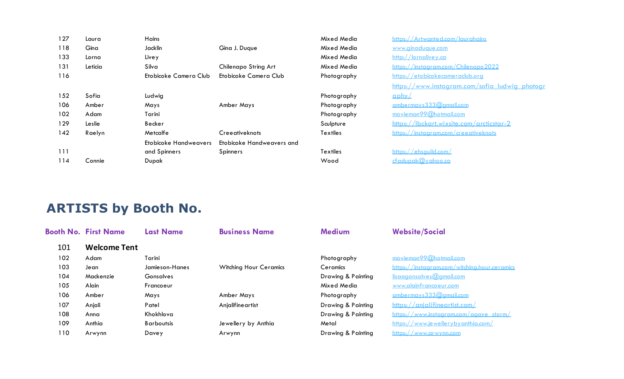| 127 | Laura   | Hains                        |                           | Mixed Media     | https://Artwanted.com/laurahains         |
|-----|---------|------------------------------|---------------------------|-----------------|------------------------------------------|
| 118 | Gina    | Jacklin                      | Gina J. Duque             | Mixed Media     | www.ainaduaue.com                        |
| 133 | Lorna   | Livey                        |                           | Mixed Media     | http://lornalivey.ca                     |
| 131 | Leticia | Silva                        | Chilenapo String Art      | Mixed Media     | https://instaaram.com/Chilenapo2022      |
| 116 |         | Etobicoke Camera Club        | Etobicoke Camera Club     | Photography     | https://etobicokecameraclub.org          |
|     |         |                              |                           |                 | https://www.instaaram.com/sofia ludw     |
| 152 | Sofia   | Ludwig                       |                           | Photography     | $\alpha$ phy $\angle$                    |
| 106 | Amber   | Mays                         | Amber Mays                | Photography     | ambermays333@amail.com                   |
| 102 | Adam    | Tarini                       |                           | Photography     | movieman99@hotmail.com                   |
| 129 | Leslie  | Becker                       |                           | Sculpture       | https://lbckart.wixsite.com/arcticstar-2 |
| 142 | Raelyn  | Metcalfe                     | Creeativeknots            | <b>Textiles</b> | https://instaaram.com/creeativeknots     |
|     |         | <b>Etobicoke Handweavers</b> | Etobicoke Handweavers and |                 |                                          |
| 111 |         | and Spinners                 | <b>Spinners</b>           | <b>Textiles</b> | https://ehsquild.com/                    |
| 114 | Connie  | Dupak                        |                           | Wood            | cfadupak@yahoo.ca                        |

| Mixed Media     | https://Artwanted.com/laurahains                      |
|-----------------|-------------------------------------------------------|
| Mixed Media     | www.ainaduaue.com                                     |
| Mixed Media     | http://lornalivey.ca                                  |
| Mixed Media     | https://instagram.com/Chilenapo2022                   |
| Photography     | https://etobicokecameraclub.org                       |
|                 | <u>https://www.instagram.com/sofia_ludwig_photogr</u> |
| Photography     | <u>aphy/</u>                                          |
| Photography     | ambermays333@amail.com                                |
| Photography     | movieman99@hotmail.com                                |
| Sculpture       | https://lbckart.wixsite.com/arcticstar-2              |
| <b>Textiles</b> | https://instagram.com/creeativeknots                  |
| Textiles        | https://ehsauild.com/                                 |

**ARTISTS by Booth No.**

|     | <b>Booth No. First Name</b> | <b>Last Name</b>  | <b>Business Name</b>          | <b>Medium</b>      | <b>Website/Social</b>                        |
|-----|-----------------------------|-------------------|-------------------------------|--------------------|----------------------------------------------|
| 101 | <b>Welcome Tent</b>         |                   |                               |                    |                                              |
| 102 | Adam                        | Tarini            |                               | Photography        | movieman99@hotmail.com                       |
| 103 | Je an                       | Jamieson-Hanes    | <b>Witching Hour Ceramics</b> | Ceramics           | https://instaaram.com/witching.hour.ceramics |
| 104 | Mackenzie                   | <b>Gonsalves</b>  |                               | Drawing & Painting | lisaaaonsalves@amail.com                     |
| 105 | Alain                       | Francoeur         |                               | Mixed Media        | www.alainfrancoeur.com                       |
| 106 | Amber                       | Mays              | Amber Mays                    | Photography        | ambermays333@amail.com                       |
| 107 | Anjali                      | Patel             | Anjalifine artist             | Drawing & Painting | https://anjalifineartist.com/                |
| 108 | Anna                        | Khokhlova         |                               | Drawing & Painting | https://www.instaaram.com/agave_storm/       |
| 109 | Anthia                      | <b>Barboutsis</b> | Jewellery by Anthia           | Metal              | https://www.iewellerybyanthia.com/           |
| 110 | Arwynn                      | Davey             | Arwynn                        | Drawing & Painting | https://www.arwynn.com                       |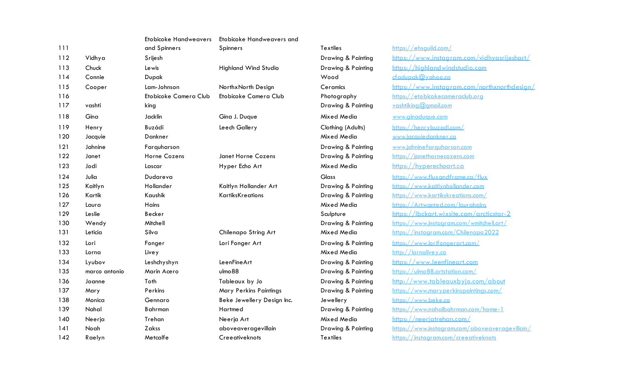|     |               | <b>Etobicoke Handweavers</b> | Etobicoke Handweavers and   |                    |                                       |
|-----|---------------|------------------------------|-----------------------------|--------------------|---------------------------------------|
| 111 |               | and Spinners                 | <b>Spinners</b>             | <b>Textiles</b>    | https://ehsauild.com/                 |
| 112 | Vidhya        | Srijesh                      |                             | Drawing & Painting | https://www.instaaram.com/vidhyd      |
| 113 | Chuck         | Lewis                        | <b>Highland Wind Studio</b> | Drawing & Painting | https://highlandwindstudio.com        |
| 114 | Connie        | Dupak                        |                             | Wood               | cfadupak@yahoo.ca                     |
| 115 | Cooper        | Lam-Johnson                  | Northx North Design         | Ceramics           | https://www.instagram.com/northx      |
| 116 |               | Etobicoke Camera Club        | Etobicoke Camera Club       | Photography        | https://etobicokecameraclub.org       |
| 117 | vashti        | king                         |                             | Drawing & Painting | vashtikina@amail.com                  |
| 118 | Gina          | Jacklin                      | Gina J. Duque               | Mixed Media        | www.ainaduaue.com                     |
| 119 | Henry         | Buzádi                       | Leech Gallery               | Clothing (Adults)  | https://henrybuzadi.com/              |
| 120 | Jacquie       | Dankner                      |                             | Mixed Media        | www.iacaujedankner.ca                 |
| 121 | Jahnine       | Farquharson                  |                             | Drawing & Painting | www.iahninefarauharson.com            |
| 122 | Janet         | Horne Cozens                 | Janet Horne Cozens          | Drawing & Painting | https://ianethornecozens.com          |
| 123 | Jodi          | Lascar                       | Hyper Echo Art              | Mixed Media        | https://hyperechoart.ca               |
| 124 | Julia         | Dudareva                     |                             | <b>Glass</b>       | https://www.fluxandframe.ca/flux      |
| 125 | Kaitlyn       | Hollander                    | Kaitlyn Hollander Art       | Drawing & Painting | https://www.kaitlynhollander.com      |
| 126 | Kartik        | Kaushik                      | <b>KartiksKreations</b>     | Drawing & Painting | https://www.kartikskreations.com/     |
| 127 | Laura         | Hains                        |                             | Mixed Media        | https://Artwanted.com/laurahains      |
| 129 | Leslie        | Becker                       |                             | Sculpture          | https://lbckart.wixsite.com/arcticst  |
| 130 | Wendy         | Mitchell                     |                             | Drawing & Painting | https://www.instggram.com/wmitchell.c |
| 131 | Leticia       | Silva                        | Chilenapo String Art        | Mixed Media        | https://instaaram.com/Chilenapo2022   |
| 132 | Lori          | Fonger                       | Lori Fonger Art             | Drawing & Painting | https://www.lorifongerart.com/        |
| 133 | Lorna         | Livey                        |                             | Mixed Media        | http://lornalivey.ca                  |
| 134 | Lyubov        | Leshchyshyn                  | LeenFineArt                 | Drawing & Painting | https://www.leenfineart.com           |
| 135 | marco antonio | Marin Acero                  | ulmo <sub>88</sub>          | Drawing & Painting | https://ulmo88.artstation.com/        |
| 136 | Joanne        | Toth                         | Tableaux by Jo              | Drawing & Painting | http://www.tableauxbyio.com/ab        |
| 137 | Mary          | Perkins                      | Mary Perkins Paintings      | Drawing & Painting | https://www.maryperkinspaintinas.com  |
| 138 | Monica        | Gennaro                      | Beke Jewellery Design Inc.  | Jewellery          | https://www.beke.ca                   |
| 139 | Nahal         | <b>B</b> ahrman              | Hartmed                     | Drawing & Painting | https://www.nahalbahrman.com/home     |
| 140 | Neerja        | Trehan                       | Neerja Art                  | Mixed Media        | https://neeriatrehan.com/             |
| 141 | Noah          | Zakss                        | aboveaveragevillain         | Drawing & Painting | https://www.instaaram.com/aboveave    |
| 142 | Raelyn        | Metcalfe                     | Creeativeknots              | <b>Textiles</b>    | https://instaaram.com/creeativeknots  |

Drawing & Painting https://www.instagram.com/vidhyasrijeshart/ Drawing & Painting https://highlandwindstudio.com Ceramics https://www.instagram.com/northxnorthdesign/ Photography https://etobicokecameraclub.org Clothing (Adults) https://henrybuzadi.com/ Mixed Media www.jacquiedankner.ca Drawing & Painting www.jahninefarquharson.com Drawing & Painting https://janethornecozens.com Mixed Media https://hyperechoart.ca Glass https://www.fluxandframe.ca/flux Drawing & Painting https://www.kaitlynhollander.com Drawing & Painting https://www.kartikskreations.com/ Mixed Media https://Artwanted.com/laurahains Sculpture https://lbckart.wixsite.com/arcticstar-2 Drawing & Painting https://www.instagram.com/wmitchell.art/ 131 Leticia Silva Chilenapo String Art Mixed Media https://instagram.com/Chilenapo2022 Drawing & Painting https://www.lorifongerart.com/ Drawing & Painting https://www.leenfineart.com Drawing & Painting https://ulmo88.artstation.com/ Drawing & Painting http://www.tableauxbyjo.com/about Drawing & Painting https://www.maryperkinspaintings.com/ Drawing & Painting https://www.nahalbahrman.com/home-1  $140$  Mixed Media https://neerjatrehan.com/ Drawing & Painting https://www.instagram.com/aboveaveragevillain/